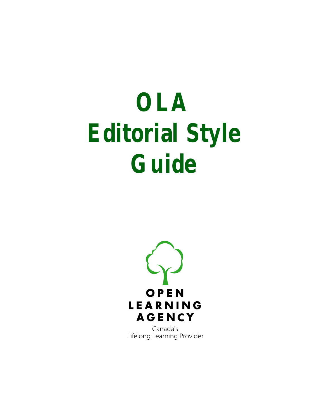# **OLA Editorial Style Guide**



Canada's Lifelong Learning Provider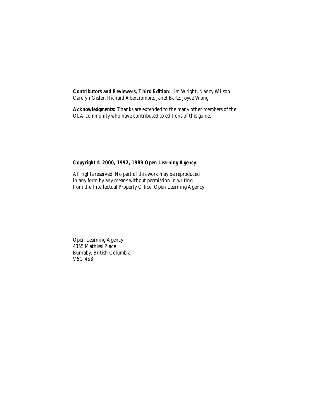**Contributors and Reviewers, Third Edition:** Jim Wright, Nancy Wilson, Carolyn Gisler, Richard Abercrombie, Janet Bartz, Joyce Wong

.

**Acknowledgments:** Thanks are extended to the many other members of the OLA community who have contributed to editions of this guide.

#### **Copyright © 2000, 1992, 1989 Open Learning Agency**

All rights reserved. No part of this work may be reproduced in any form by any means without permission in writing from the Intellectual Property Office, Open Learning Agency.

Open Learning Agency 4355 Mathissi Place Burnaby, British Columbia V5G 4S8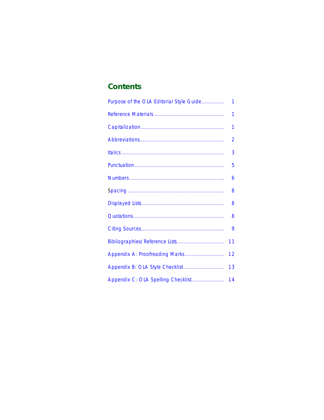# **Contents**

| Purpose of the OLA Editorial Style Guide | 1  |
|------------------------------------------|----|
|                                          | 1  |
|                                          | 1  |
|                                          | 2  |
|                                          | 3  |
|                                          | 5  |
|                                          | 6  |
|                                          | 8  |
|                                          | 8  |
|                                          | 8  |
|                                          | 9  |
| Bibliographies/Reference Lists           | 11 |
| Appendix A: Proofreading Marks           | 12 |
| Appendix B: OLA Style Checklist          | 13 |
| Appendix C: OLA Spelling Checklist       | 14 |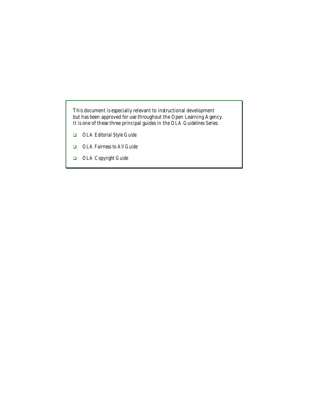This document is especially relevant to instructional development but has been approved for use throughout the Open Learning Agency. It is one of these three principal guides in the *OLA Guidelines Series:*

- ! *OLA Editorial Style Guide*
- ! *OLA Fairness to All Guide*
- ! *OLA Copyright Guide*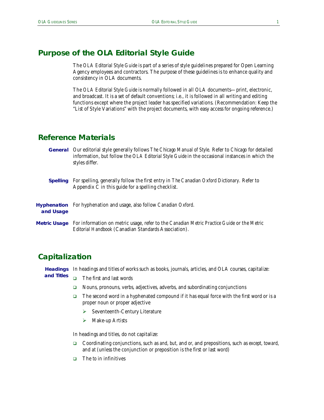# <span id="page-4-1"></span>**Purpose of the** *OLA Editorial Style Guide*

The *OLA Editorial Style Guide* is part of a series of style guidelines prepared for Open Learning Agency employees and contractors. The purpose of these guidelines is to enhance quality and consistency in OLA documents.

The *OLA Editorial Style Guide* is normally followed in all OLA documents—print, electronic, and broadcast. It is a set of default conventions; i.e., it is followed in all writing and editing functions except where the project leader has specified variations. (Recommendation: Keep the "List of Style Variations" with the project documents, with easy access for ongoing reference.)

## <span id="page-4-2"></span>**Reference Materials**

- Our editorial style generally follows *The Chicago Manual of Style.* Refer to *Chicago* for detailed **General** information, but follow the *OLA Editorial Style Guide* in the occasional instances in which the styles differ.
- For spelling, generally follow the first entry in *The Canadian Oxford Dictionary.* Refer to Appendix C in this guide for a spelling checklist. **Spelling**

| and Usage | <b>Hyphenation</b> For hyphenation and usage, also follow Canadian Oxford.                                                                                      |
|-----------|-----------------------------------------------------------------------------------------------------------------------------------------------------------------|
|           | Metric Usage For information on metric usage, refer to the Canadian Metric Practice Guide or the Metric<br>Editorial Handbook (Canadian Standards Association). |

# <span id="page-4-0"></span>**Capitalization**

Headings In headings and titles of works such as books, journals, articles, and OLA courses, capitalize:

- $\Box$  The first and last words **and Titles**
	- $\Box$  Nouns, pronouns, verbs, adjectives, adverbs, and subordinating conjunctions
	- The second word in a hyphenated compound if it has equal force with the first word or is a proper noun or proper adjective
		- $\triangleright$  Seventeenth-Century Literature
		- $\triangleright$  Make-up Artists

In headings and titles, do not capitalize:

- ! Coordinating conjunctions, such as *and*, *but*, and *or*, and prepositions, such as *except*, *toward*, and *at* (unless the conjunction or preposition is the first or last word)
- ! The *to* in infinitives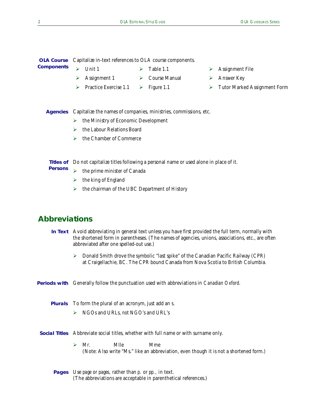| <b>OLA Course</b> Capitalize in-text references to OLA course components. |                            |  |  |
|---------------------------------------------------------------------------|----------------------------|--|--|
| <b>Components</b> $\triangleright$ Unit 1                                 | $\triangleright$ Table 1.1 |  |  |

- $\triangleright$  Assignment 1
- 
- 
- $\triangleright$  Course Manual
- $\triangleright$  Practice Exercise 1.1  $\triangleright$  Figure 1.1
- 
- $\triangleright$  Assignment File
- $\triangleright$  Answer Key
- $\triangleright$  Tutor Marked Assignment Form

Agencies Capitalize the names of companies, ministries, commissions, etc.

- $\triangleright$  the Ministry of Economic Development
- $\triangleright$  the Labour Relations Board
- $\triangleright$  the Chamber of Commerce

**Titles of** Do not capitalize titles following a personal name or used alone in place of it.

- $\triangleright$  the prime minister of Canada **Persons**
	- $\triangleright$  the king of England
	- $\triangleright$  the chairman of the UBC Department of History

# <span id="page-5-0"></span>**Abbreviations**

- In Text Avoid abbreviating in general text unless you have first provided the full term, normally with the shortened form in parentheses. (The names of agencies, unions, associations, etc., are often abbreviated after one spelled-out use.)
	- $\triangleright$  Donald Smith drove the symbolic "last spike" of the Canadian Pacific Railway (CPR) at Craigellachie, BC. The CPR bound Canada from Nova Scotia to British Columbia.

**Periods with** Generally follow the punctuation used with abbreviations in *Canadian Oxford*.

- **Plurals** To form the plural of an acronym, just add an *s*.
	- # NGOs and URLs, *not* NGO's and URL's
- **Social Titles** Abbreviate social titles, whether with full name or with surname only.
	- $\triangleright$  Mr. Mille Mme (Note: Also write "Ms." like an abbreviation, even though it is not a shortened form.)
	- Use *page* or *pages,* rather than *p.* or *pp.,* in text. **Pages**(The abbreviations are acceptable in parenthetical references.)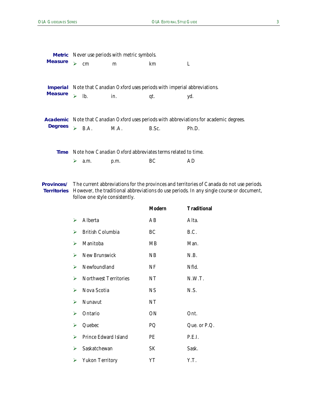|                                   | <b>Metric</b> Never use periods with metric symbols. |                         |                                |                |                                                                                                                                                                                                                        |  |  |
|-----------------------------------|------------------------------------------------------|-------------------------|--------------------------------|----------------|------------------------------------------------------------------------------------------------------------------------------------------------------------------------------------------------------------------------|--|--|
| <b>Measure</b>                    | ↘                                                    | cm                      | m                              | km             | L                                                                                                                                                                                                                      |  |  |
| <b>Imperial</b><br><b>Measure</b> | ↘                                                    | lb.                     | in.                            | qt.            | Note that Canadian Oxford uses periods with imperial abbreviations.<br>yd.                                                                                                                                             |  |  |
| <b>Degrees</b>                    | $\blacktriangleright$                                | B.A.                    | M.A.                           | B.Sc.          | Academic Note that Canadian Oxford uses periods with abbreviations for academic degrees.<br>Ph.D.                                                                                                                      |  |  |
| Time                              | ⋗                                                    | a.m.                    | p.m.                           | BC             | Note how Canadian Oxford abbreviates terms related to time.<br>AD                                                                                                                                                      |  |  |
| <b>Territories</b>                |                                                      |                         | follow one style consistently. | <b>Modern</b>  | Provinces/ The current abbreviations for the provinces and territories of Canada do not use periods.<br>However, the traditional abbreviations do use periods. In any single course or document,<br><b>Traditional</b> |  |  |
|                                   | ⋗                                                    | Alberta                 |                                | AB             | Alta.                                                                                                                                                                                                                  |  |  |
|                                   | ⋗                                                    | <b>British Columbia</b> |                                | BC             | B.C.                                                                                                                                                                                                                   |  |  |
|                                   | ⋗                                                    | Manitoba                |                                | MB             | Man.                                                                                                                                                                                                                   |  |  |
|                                   | ⋗                                                    | New Brunswick           |                                | N <sub>B</sub> | N.B.                                                                                                                                                                                                                   |  |  |
|                                   | ➤                                                    | Newfoundland            |                                | NF             | Nfld.                                                                                                                                                                                                                  |  |  |

| ⋗ | New Brunswick                | NB        | N.B.         |
|---|------------------------------|-----------|--------------|
| ⋗ | Newfoundland                 | NF        | Nfld.        |
| ⋗ | <b>Northwest Territories</b> | NT        | N.W.T.       |
| ➤ | Nova Scotia                  | <b>NS</b> | N.S.         |
| ➤ | <b>Nunavut</b>               | NT        |              |
| ➤ | Ontario                      | ON        | Ont.         |
| ➤ | Quebec                       | PQ        | Que. or P.Q. |
| ➤ | Prince Edward Island         | <b>PE</b> | P.E.I.       |
| ↘ | Saskatchewan                 | SK        | Sask.        |
| ➤ | Yukon Territory              | YТ        | Y.T.         |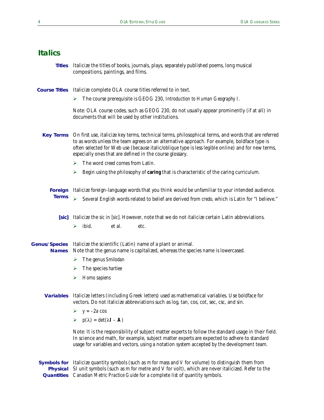## <span id="page-7-0"></span>**Italics**

Italicize the titles of books, journals, plays, separately published poems, long musical compositions, paintings, and films. **Titles**

**Course Titles** Italicize complete OLA course titles referred to in text.

# The course prerequisite is GEOG 230, *Introduction to Human Geography I*.

Note: OLA course codes, such as GEOG 230, do not usually appear prominently (if at all) in documents that will be used by other institutions.

- On first use, italicize key terms, technical terms, philosophical terms, and words that are referred to as words unless the team agrees on an alternative approach. For example, boldface type is often selected for Web use (because italic/oblique type is less legible online) and for new terms, especially ones that are defined in the course glossary. **Key Terms**
	- $\triangleright$  The word *creed* comes from Latin.
	- $\triangleright$  Begin using the philosophy of **caring** that is characteristic of the caring curriculum.
	- Italicize foreign-language words that you think would be unfamiliar to your intended audience. # Several English words related to belief are derived from *credo*, which is Latin for "I believe." **Foreign Terms**
		- Italicize the *sic* in [*sic*]. However, note that we do not italicize certain Latin abbreviations. **[***sic***]**  $\triangleright$  ibid. et al. etc.

Genus/Species Italicize the scientific (Latin) name of a plant or animal. Note that the genus name is capitalized, whereas the species name is lowercased. **Names**

- $\triangleright$  The genus *Smilodan*
- > The species *hartiee*
- $\triangleright$  *Homo sapiens*
- **Variables** Italicize letters (including Greek letters) used as mathematical variables. Use boldface for vectors. Do not italicize abbreviations such as log, tan, cos, cot, sec, csc, and sin.
	- $\triangleright$   $y = -2a \cos$
	- $\triangleright$  p( $\lambda$ ) = det( $\lambda$ **I A**)

Note: It is the responsibility of subject matter experts to follow the standard usage in their field. In science and math, for example, subject matter experts are expected to adhere to standard usage for variables and vectors, using a notation system accepted by the development team.

**Symbols for** Italicize quantity symbols (such as *m* for mass and *V* for volume) to distinguish them from **Physical** SI unit symbols (such as m for metre and V for volt), which are never italicized. Refer to the *Canadian Metric Practice Guide* for a complete list of quantity symbols. **Quantities**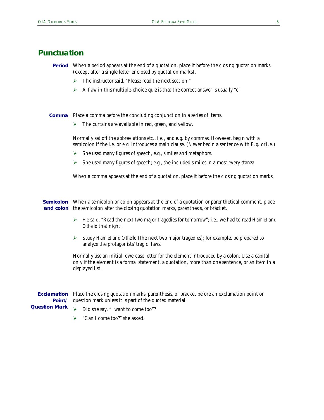# <span id="page-8-0"></span>**Punctuation**

- **Period** When a period appears at the end of a quotation, place it before the closing quotation marks (except after a single letter enclosed by quotation marks).
	- $\triangleright$  The instructor said, "Please read the next section."
	- $\triangleright$  A flaw in this multiple-choice quiz is that the correct answer is usually "c".

Place a comma before the concluding conjunction in a series of items. **Comma**

 $\triangleright$  The curtains are available in red, green, and yellow.

Normally set off the abbreviations *etc.*, *i.e.*, and *e.g.* by commas. However, begin with a semicolon if the *i.e.* or *e.g.* introduces a main clause. (Never begin a sentence with *E.g.* or *I.e.*)

- $\triangleright$  She used many figures of speech, e.g., similes and metaphors.
- $\triangleright$  She used many figures of speech; e.g., she included similes in almost every stanza.

When a comma appears at the end of a quotation, place it before the closing quotation marks.

**Semicolon** When a semicolon or colon appears at the end of a quotation or parenthetical comment, place **and colon** the semicolon after the closing quotation marks, parenthesis, or bracket.

- ► He said, "Read the next two major tragedies for tomorrow"; i.e., we had to read *Hamlet* and *Othello* that night.
- # Study *Hamlet* and *Othello* (the next two major tragedies); for example, be prepared to analyze the protagonists' tragic flaws.

Normally use an initial lowercase letter for the element introduced by a colon. Use a capital only if the element is a formal statement, a quotation, more than one sentence, or an item in a displayed list.

Place the closing quotation marks, parenthesis, or bracket before an exclamation point or question mark unless it is part of the quoted material. **Exclamation Point/ Question Mark**

 $\triangleright$  Did she say, "I want to come too"?

 $\triangleright$  "Can I come too?" she asked.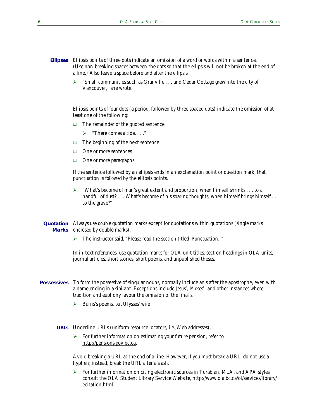- Ellipsis points of three dots indicate an omission of a word or words within a sentence. (Use non-breaking spaces between the dots so that the ellipsis will not be broken at the end of a line.) Also leave a space before and after the ellipsis. **Ellipses**
	- $\triangleright$  "Small communities such as Granville . . . and Cedar Cottage grew into the city of Vancouver," she wrote.

Ellipsis points of four dots (a period, followed by three spaced dots) indicate the omission of at least one of the following:

- $\Box$  The remainder of the quoted sentence
	- $\triangleright$  "There comes a tide...."
- $\Box$  The beginning of the next sentence
- $\Box$  One or more sentences
- $\Box$  One or more paragraphs

If the sentence followed by an ellipsis ends in an exclamation point or question mark, that punctuation is *followed* by the ellipsis points.

- # "What's become of man's great extent and proportion, when himself shrinks . . . to a handful of dust? . . . What's become of his soaring thoughts, when himself brings himself . . . to the grave?"
- Always use *double* quotation marks except for quotations within quotations (single marks **Quotation Marks** enclosed by double marks).
	- > The instructor said, "Please read the section titled 'Punctuation.'"

In in-text references, use quotation marks for OLA unit titles, section headings in OLA units, journal articles, short stories, short poems, and unpublished theses.

- To form the possessive of singular nouns, normally include an *s* after the apostrophe, even with **Possessives** a name ending in a sibilant. Exceptions include *Jesus', Moses',* and other instances where tradition and euphony favour the omission of the final *s*.
	- **►** Burns's poems, but Ulysses' wife
	- URLs Underline URLs (uniform resource locators, i.e., Web addresses).
		- $\triangleright$  For further information on estimating your future pension, refer to http://pensions.gov.bc.ca.

Avoid breaking a URL at the end of a line. However, if you must break a URL, do not use a hyphen; instead, break the URL after a slash.

 $\triangleright$  For further information on citing electronic sources in Turabian, MLA, and APA styles, consult the OLA Student Library Service Website, http://www.ola.bc.ca/ol/services/library/ ecitation.html.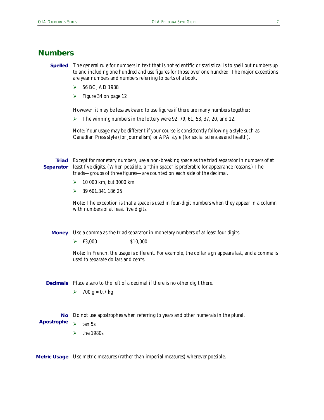# <span id="page-10-0"></span>**Numbers**

- **Spelled** The general rule for numbers in text that is not scientific or statistical is to spell out numbers up to and including one hundred and use figures for those over one hundred. The major exceptions are year numbers and numbers referring to parts of a book.
	- $\triangleright$  56 BC, AD 1988
	- $\triangleright$  Figure 34 on page 12

However, it may be less awkward to use figures if there are many numbers together:

 $\triangleright$  The winning numbers in the lottery were 92, 79, 61, 53, 37, 20, and 12.

Note: Your usage may be different if your course is consistently following a style such as Canadian Press style (for journalism) or APA style (for social sciences and health).

Except for monetary numbers, use a non-breaking space as the triad separator in numbers of at **Triad** least five digits. (When possible, a "thin space" is preferable for appearance reasons.) The triads—groups of three figures—are counted on each side of the decimal. **Separator**

- # 10 000 km, *but* 3000 km
- $\geq$  39 601.341 186 25

Note: The exception is that a space is used in four-digit numbers when they appear in a column with numbers of at least five digits.

**Money** Use a comma as the triad separator in monetary numbers of at least four digits.

 $\geq$  £3,000 \$10,000

Note: In French, the usage is different. For example, the dollar sign appears last, and a comma is used to separate dollars and cents.

**Decimals** Place a zero to the left of a decimal if there is no other digit there.

 $\ge 700 \text{ g} = 0.7 \text{ kg}$ 

No Do not use apostrophes when referring to years and other numerals in the plural.

 $\ge$  ten 5s

**Apostrophe**

 $\triangleright$  the 1980s

**Metric Usage** Use metric measures (rather than imperial measures) wherever possible.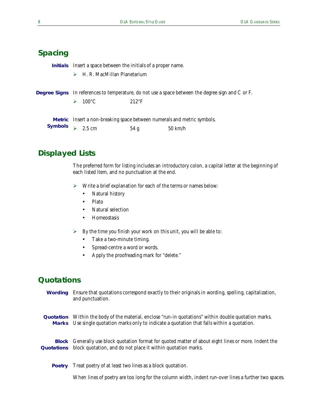# <span id="page-11-0"></span>**Spacing**

**Initials** Insert a space between the initials of a proper name.

 $\triangleright$  H. R. MacMillan Planetarium

|                                                                                                                 | <b>Degree Signs</b> In references to temperature, do not use a space between the degree sign and C or F. |                      |                                                                                |  |
|-----------------------------------------------------------------------------------------------------------------|----------------------------------------------------------------------------------------------------------|----------------------|--------------------------------------------------------------------------------|--|
|                                                                                                                 |                                                                                                          | $\geq 100^{\circ}$ C | $212^{\circ}F$                                                                 |  |
| Constantinople of the local contract of the local contract of the local contract of the local contract of the c |                                                                                                          |                      | <b>Metric</b> Insert a non-breaking space between numerals and metric symbols. |  |

| <b>Symbols</b><br>$\geq 2.5$ cm | 54g | $50 \text{ km/h}$ |
|---------------------------------|-----|-------------------|
|---------------------------------|-----|-------------------|

# <span id="page-11-1"></span>**Displayed Lists**

The preferred form for listing includes an introductory colon, a capital letter at the beginning of each listed item, and no punctuation at the end.

- $\triangleright$  Write a brief explanation for each of the terms or names below:
	- Natural history
	- Plato
	- Natural selection
	- Homeostasis
- $\triangleright$  By the time you finish your work on this unit, you will be able to:
	- Take a two-minute timing.
	- Spread-centre a word or words.
	- Apply the proofreading mark for "delete."

## <span id="page-11-2"></span>**Quotations**



Treat poetry of at least two lines as a block quotation. **Poetry**

When lines of poetry are too long for the column width, indent run-over lines a further two spaces.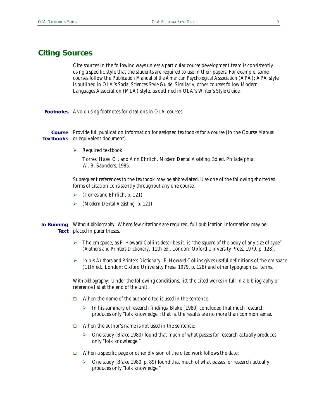#### <span id="page-12-0"></span>**Citing Sources**

Cite sources in the following ways unless a particular course development team is consistently using a specific style that the students are required to use in their papers. For example, some courses follow the *Publication Manual of the American Psychological Association* (APA); APA style is outlined in OLA's *Social Sciences Style Guide*. Similarly, other courses follow Modern Languages Association (MLA) style, as outlined in OLA's *Writer's Style Guide.*

Footnotes Avoid using footnotes for citations in OLA courses.

Course Provide full publication information for assigned textbooks for a course (in the Course Manual **Textbooks** or equivalent document).

 $\triangleright$  Required textbook:

Torres, Hazel O., and Ann Ehrlich. *Modern Dental Assisting*. 3d ed. Philadelphia: W. B. Saunders, 1985.

Subsequent references to the textbook may be abbreviated. Use one of the following shortened forms of citation consistently throughout any one course.

- $\triangleright$  (Torres and Ehrlich, p. 121)
- # (*Modern Dental Assisting,* p. 121)

*Without bibliography:* Where few citations are required, full publication information may be **In Running Text** placed in parentheses.

- $\triangleright$  The em space, as F. Howard Collins describes it, is "the square of the body of any size of type" (*Authors and Printers Dictionary,* 11th ed., London: Oxford University Press, 1979, p. 128).
- # In his *Authors and Printers Dictionary,* F. Howard Collins gives useful definitions of the em space (11th ed., London: Oxford University Press, 1979, p. 128) and other typographical terms.

*With bibliography:* Under the following conditions, list the cited works in full in a bibliography or reference list at the end of the unit.

- $\Box$  When the name of the author cited is used in the sentence:
	- $\triangleright$  In his summary of research findings, Blake (1980) concluded that much research produces only "folk knowledge"; that is, the results are no more than common sense.
- $\Box$  When the author's name is not used in the sentence:
	- $\triangleright$  One study (Blake 1980) found that much of what passes for research actually produces only "folk knowledge."
- $\Box$  When a specific page or other division of the cited work follows the date:
	- $\triangleright$  One study (Blake 1980, p. 89) found that much of what passes for research actually produces only "folk knowledge."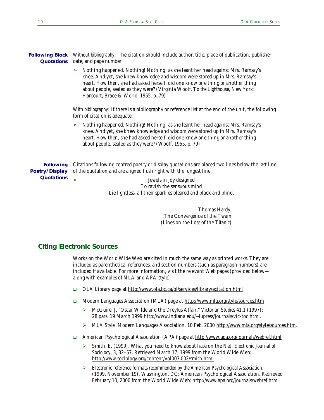| <b>Following Block</b> Without bibliography: The citation should include author, title, place of publication, publisher,<br><b>Quotations</b> date, and page number.                                                                                                                                                                                    |  |  |  |  |
|---------------------------------------------------------------------------------------------------------------------------------------------------------------------------------------------------------------------------------------------------------------------------------------------------------------------------------------------------------|--|--|--|--|
| $\triangleright$ Nothing happened. Nothing! Nothing! as she leant her head against Mrs. Ramsay's<br>knee. And yet, she knew knowledge and wisdom were stored up in Mrs. Ramsay's<br>heart. How then, she had asked herself, did one know one thing or another thing<br>about people, sealed as they were? (Virginia Woolf, To the Lighthouse, New York: |  |  |  |  |

Harcourt, Brace & World, 1955, p. 79)

*With bibliography:* If there is a bibliography or reference list at the end of the unit, the following form of citation is adequate:

➣ Nothing happened. Nothing! Nothing! as she leant her head against Mrs. Ramsay's knee. And yet, she knew knowledge and wisdom were stored up in Mrs. Ramsay's heart. How then, she had asked herself, did one know one thing or another thing about people, sealed as they were? (Woolf, 1955, p. 79)

Citations following centred poetry or display quotations are placed two lines below the last line of the quotation and are aligned flush right with the longest line. **Following Poetry/Display**

**Quotations**

➣ Jewels in joy designed To ravish the sensuous mind Lie lightless, all their sparkles bleared and black and blind.

> Thomas Hardy, The Convergence of the Twain (Lines on the Loss of the *Titanic*)

#### **Citing Electronic Sources**

Works on the World Wide Web are cited in much the same way as printed works. They are included as parenthetical references, and section numbers (such as paragraph numbers) are included if available. For more information, visit the relevant Web pages (provided below along with examples of MLA and APA style):

- ! OLA Library page at<http://www.ola.bc.ca/ol/services/library/ecitation.html>
- □ Modern Languages Association (MLA) page at http://www.mla.org/style/sources.htm
	- # McGuire, J. "Oscar Wilde and the Dreyfus Affair." *Victorian Studie*s 41.1 (1997): 28 pars. 19 March 1999 http://www.indiana.edu/~iupress/journals/vic-toc.html.
	- # *MLA Style.* Modern Languages Association. 10 Feb. 2000 http://www.mla.org/style/sources.htm .
- ! American Psychological Association (APA) page at<http://www.apa.org/journals/webref.html>
	- # Smith, E. (1999). What you need to know about hate on the Net. *Electronic Journal of Sociology*, 3, 32–57. Retrieved March 17, 1999 from the World Wide Web: http://www.sociology.org/content/vol003.002/smith.html
	- # *Electronic reference formats recommended by the American Psychological Association*. (1999, November 19). Washington, DC: American Psychological Association. Retrieved February 10, 2000 from the World Wide Web: http://www.apa.org/journals/webref.html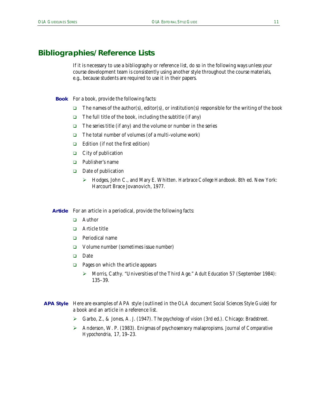# <span id="page-14-0"></span>**Bibliographies/Reference Lists**

If it is necessary to use a bibliography or reference list, do so in the following ways unless your course development team is consistently using another style throughout the course materials, e.g., because students are required to use it in their papers.

**Book** For a book, provide the following facts:

- The names of the author(s), editor(s), or institution(s) responsible for the writing of the book
- $\Box$  The full title of the book, including the subtitle (if any)
- $\Box$  The series title (if any) and the volume or number in the series
- $\Box$  The total number of volumes (of a multi-volume work)
- $\Box$  Edition (if not the first edition)
- $\Box$  City of publication
- □ Publisher's name
- $\Box$  Date of publication
	- # Hodges, John C., and Mary E. Whitten. *Harbrace College Handbook*. 8th ed. New York: Harcourt Brace Jovanovich, 1977.

Article For an article in a periodical, provide the following facts:

- ! Author
- **D** Article title
- □ Periodical name
- ! Volume number (sometimes issue number)
- **Date**
- $\Box$  Pages on which the article appears
	- # Morris, Cathy. "Universities of the Third Age." A*dult Education* 57 (September 1984): 135–39.
- Here are examples of APA style (outlined in the OLA document *Social Sciences Style Guide*) for **APA Style**a book and an article in a reference list.
	- # Garbo, Z., & Jones, A. J. (1947). *The psychology of vision* (3rd ed.). Chicago: Bradstreet.
	- # Anderson, W. P. (1983). Enigmas of psychosensory malapropisms. *Journal of Comparative Hypochondria,* 17, 19–23.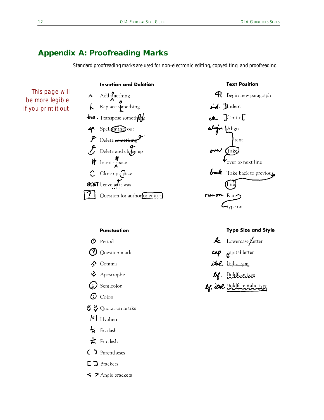# <span id="page-15-0"></span>**Appendix A: Proofreading Marks**

Standard proofreading marks are used for non-electronic editing, copyediting, and proofreading.

# This page will be more legible if you print it out*.*



**Insertion and Deletion** 



#### **Punctuation**



- $\Box$  Brackets
- $\blacktriangleleft$  > Angle brackets

#### **Type Size and Style**

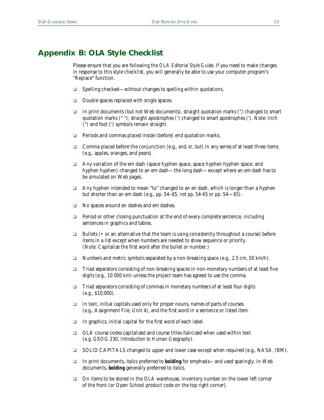# <span id="page-16-0"></span>**Appendix B: OLA Style Checklist**

Please ensure that you are following the *OLA Editorial Style Guide*. If you need to make changes in response to this style checklist, you will generally be able to use your computer program's "Replace" function.

- $\Box$  Spelling checked—without changes to spelling within quotations.
- $\Box$  Double spaces replaced with single spaces.
- In print documents (but not Web documents), straight quotation marks (") changed to smart quotation marks (" "); straight apostrophes (') changed to smart apostrophes ('). Note: Inch (") and foot (') symbols remain straight.
- $\Box$  Periods and commas placed inside (before) end quotation marks.
- ! Comma placed before the conjunction (e.g., *and*, *or*, *but*) in any series of at least three items (e.g., apples, oranges, and pears).
- $\Box$  Any variation of the em dash (space hyphen space, space hyphen hyphen space, and hyphen hyphen) changed to an em dash—the long dash—except where an em dash has to be simulated on Web pages.
- $\Box$  Any hyphen intended to mean "to" changed to an en dash, which is longer than a hyphen but shorter than an em dash (e.g., pp. 54–65, *not* pp. 54-65 or pp. 54—65).
- $\Box$  No spaces around en dashes and em dashes.
- $\Box$  Period or other closing punctuation at the end of every complete sentence, including sentences in graphics and tables.
- $\Box$  Bullets (• or an alternative that the team is using consistently throughout a course) before items in a list except when numbers are needed to show sequence or priority. (Note: Capitalize the first word after the bullet or number.)
- $\Box$  Numbers and metric symbols separated by a non-breaking space (e.g., 2.5 cm, 50 km/h).
- $\Box$  Triad separators consisting of non-breaking spaces in non-monetary numbers of at least five digits (e.g., 10 000 km) unless the project team has agreed to use the comma.
- $\Box$  Triad separators consisting of commas in monetary numbers of at least four digits (e.g., \$10,000).
- $\Box$  In text, initial capitals used only for proper nouns, names of parts of courses (e.g., Assignment File, Unit 4), and the first word in a sentence or listed item.
- $\Box$  In graphics, initial capital for the first word of each label.
- ! OLA course codes capitalized and course titles italicized when used within text (e.g. GEOG 230, *Introduction to Human Geography*).
- **E** SOLID CAPITALS changed to upper and lower case except when required (e.g., NASA, IBM).
- ! In print documents, *italics* preferred to **bolding** for emphasis—and used sparingly. In Web documents, **bolding** generally preferred to *italics.*
- ! On items to be stored in the OLA warehouse, inventory number on the lower left corner of the front (or Open School product code on the top right corner).